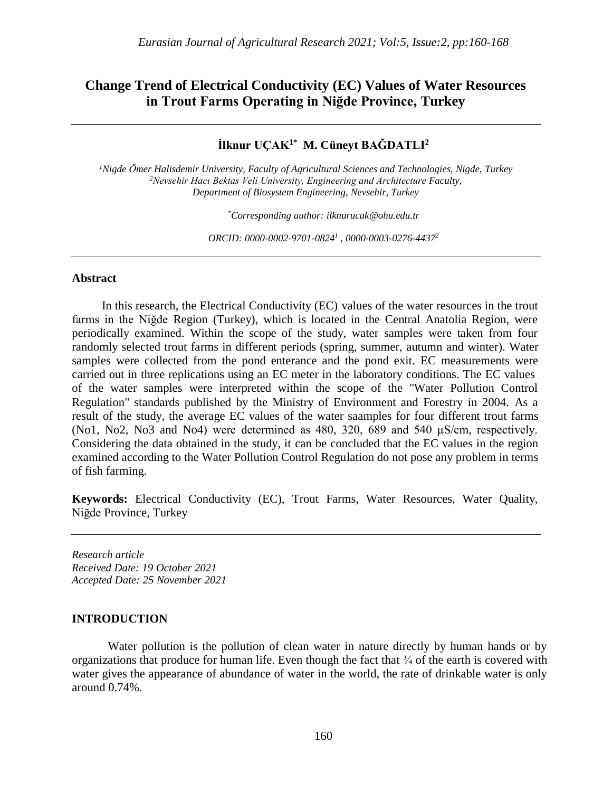## **Change Trend of Electrical Conductivity (EC) Values of Water Resources in Trout Farms Operating in Niğde Province, Turkey**

# **İlknur UÇAK1\* M. Cüneyt BAĞDATLI<sup>2</sup>**

*<sup>1</sup>Nigde Ömer Halisdemir University, Faculty of Agricultural Sciences and Technologies, Nigde, Turkey <sup>2</sup>Nevsehir Hacı Bektas Veli University, Engineering and Architecture Faculty, Department of Biosystem Engineering, Nevsehir, Turkey*

*\*Corresponding author: [ilknurucak@ohu.edu.tr](mailto:ilknurucak@ohu.edu.tr)*

*ORCID: [0000-0002-9701-0824](https://orcid.org/0000-0002-9701-0824)<sup>1</sup> [, 0000-0003-0276-4437](https://orcid.org/0000-0003-0276-4437)<sup>2</sup>*

### **Abstract**

 In this research, the Electrical Conductivity (EC) values of the water resources in the trout farms in the Niğde Region (Turkey), which is located in the Central Anatolia Region, were periodically examined. Within the scope of the study, water samples were taken from four randomly selected trout farms in different periods (spring, summer, autumn and winter). Water samples were collected from the pond enterance and the pond exit. EC measurements were carried out in three replications using an EC meter in the laboratory conditions. The EC values of the water samples were interpreted within the scope of the "Water Pollution Control Regulation" standards published by the Ministry of Environment and Forestry in 2004. As a result of the study, the average EC values of the water saamples for four different trout farms (No1, No2, No3 and No4) were determined as 480, 320, 689 and 540 µS/cm, respectively. Considering the data obtained in the study, it can be concluded that the EC values in the region examined according to the Water Pollution Control Regulation do not pose any problem in terms of fish farming.

**Keywords:** Electrical Conductivity (EC), Trout Farms, Water Resources, Water Quality, Niğde Province, Turkey

*Research article Received Date: 19 October 2021 Accepted Date: 25 November 2021*

### **INTRODUCTION**

Water pollution is the pollution of clean water in nature directly by human hands or by organizations that produce for human life. Even though the fact that ¾ of the earth is covered with water gives the appearance of abundance of water in the world, the rate of drinkable water is only around 0.74%.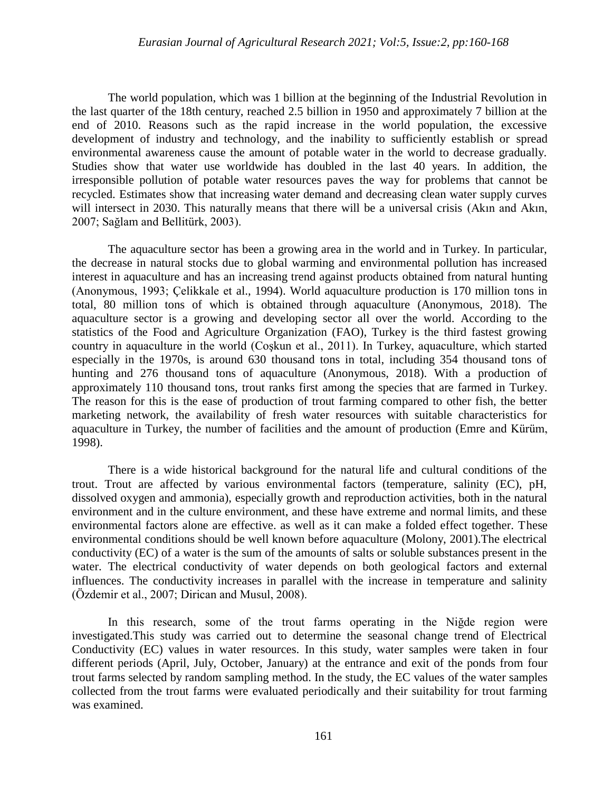The world population, which was 1 billion at the beginning of the Industrial Revolution in the last quarter of the 18th century, reached 2.5 billion in 1950 and approximately 7 billion at the end of 2010. Reasons such as the rapid increase in the world population, the excessive development of industry and technology, and the inability to sufficiently establish or spread environmental awareness cause the amount of potable water in the world to decrease gradually. Studies show that water use worldwide has doubled in the last 40 years. In addition, the irresponsible pollution of potable water resources paves the way for problems that cannot be recycled. Estimates show that increasing water demand and decreasing clean water supply curves will intersect in 2030. This naturally means that there will be a universal crisis (Akin and Akin, 2007; Sağlam and Bellitürk, 2003).

The aquaculture sector has been a growing area in the world and in Turkey. In particular, the decrease in natural stocks due to global warming and environmental pollution has increased interest in aquaculture and has an increasing trend against products obtained from natural hunting (Anonymous, 1993; Çelikkale et al., 1994). World aquaculture production is 170 million tons in total, 80 million tons of which is obtained through aquaculture (Anonymous, 2018). The aquaculture sector is a growing and developing sector all over the world. According to the statistics of the Food and Agriculture Organization (FAO), Turkey is the third fastest growing country in aquaculture in the world (Coşkun et al., 2011). In Turkey, aquaculture, which started especially in the 1970s, is around 630 thousand tons in total, including 354 thousand tons of hunting and 276 thousand tons of aquaculture (Anonymous, 2018). With a production of approximately 110 thousand tons, trout ranks first among the species that are farmed in Turkey. The reason for this is the ease of production of trout farming compared to other fish, the better marketing network, the availability of fresh water resources with suitable characteristics for aquaculture in Turkey, the number of facilities and the amount of production (Emre and Kürüm, 1998).

There is a wide historical background for the natural life and cultural conditions of the trout. Trout are affected by various environmental factors (temperature, salinity (EC), pH, dissolved oxygen and ammonia), especially growth and reproduction activities, both in the natural environment and in the culture environment, and these have extreme and normal limits, and these environmental factors alone are effective. as well as it can make a folded effect together. These environmental conditions should be well known before aquaculture (Molony, 2001).The electrical conductivity (EC) of a water is the sum of the amounts of salts or soluble substances present in the water. The electrical conductivity of water depends on both geological factors and external influences. The conductivity increases in parallel with the increase in temperature and salinity (Özdemir et al., 2007; Dirican and Musul, 2008).

In this research, some of the trout farms operating in the Nigde region were investigated.This study was carried out to determine the seasonal change trend of Electrical Conductivity (EC) values in water resources. In this study, water samples were taken in four different periods (April, July, October, January) at the entrance and exit of the ponds from four trout farms selected by random sampling method. In the study, the EC values of the water samples collected from the trout farms were evaluated periodically and their suitability for trout farming was examined.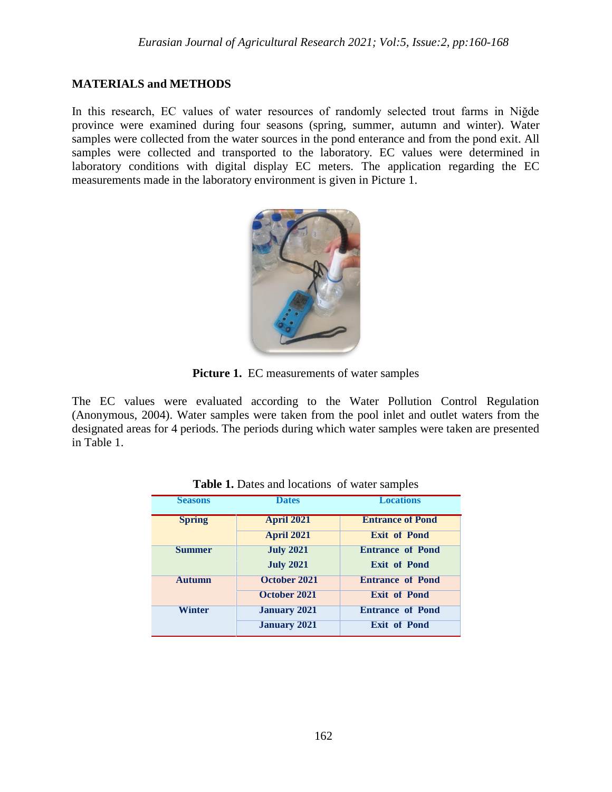## **MATERIALS and METHODS**

In this research, EC values of water resources of randomly selected trout farms in Niğde province were examined during four seasons (spring, summer, autumn and winter). Water samples were collected from the water sources in the pond enterance and from the pond exit. All samples were collected and transported to the laboratory. EC values were determined in laboratory conditions with digital display EC meters. The application regarding the EC measurements made in the laboratory environment is given in Picture 1.



**Picture 1.** EC measurements of water samples

The EC values were evaluated according to the Water Pollution Control Regulation (Anonymous, 2004). Water samples were taken from the pool inlet and outlet waters from the designated areas for 4 periods. The periods during which water samples were taken are presented in Table 1.

| <b>Seasons</b> | <b>Dates</b>        | <b>Locations</b>        |  |  |  |
|----------------|---------------------|-------------------------|--|--|--|
| <b>Spring</b>  | <b>April 2021</b>   | <b>Entrance of Pond</b> |  |  |  |
|                | <b>April 2021</b>   | <b>Exit of Pond</b>     |  |  |  |
| <b>Summer</b>  | <b>July 2021</b>    | <b>Entrance of Pond</b> |  |  |  |
|                | <b>July 2021</b>    | <b>Exit of Pond</b>     |  |  |  |
| <b>Autumn</b>  | October 2021        | <b>Entrance of Pond</b> |  |  |  |
|                | October 2021        | <b>Exit of Pond</b>     |  |  |  |
| <b>Winter</b>  | <b>January 2021</b> | <b>Entrance of Pond</b> |  |  |  |
|                | <b>January 2021</b> | <b>Exit of Pond</b>     |  |  |  |

**Table 1.** Dates and locations of water samples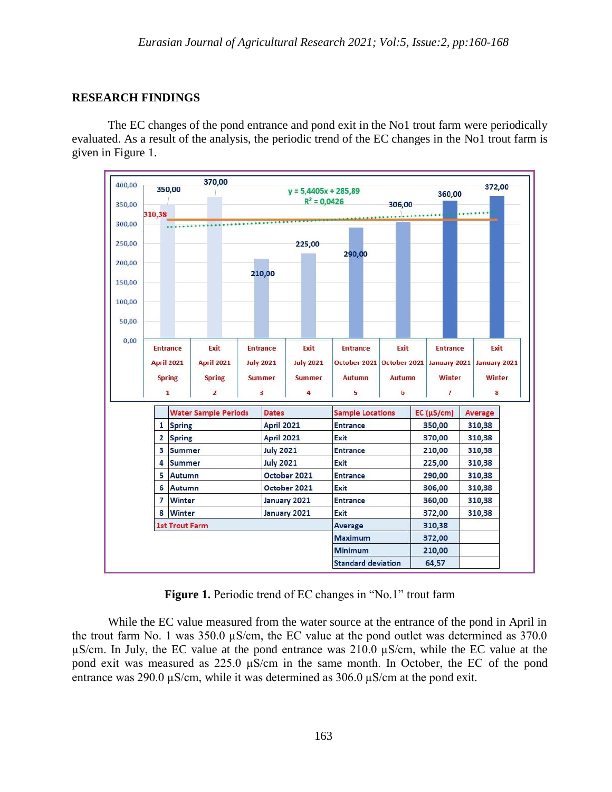### **RESEARCH FINDINGS**

The EC changes of the pond entrance and pond exit in the No1 trout farm were periodically evaluated. As a result of the analysis, the periodic trend of the EC changes in the No1 trout farm is given in Figure 1.



Figure 1. Periodic trend of EC changes in "No.1" trout farm

While the EC value measured from the water source at the entrance of the pond in April in the trout farm No. 1 was  $350.0 \mu s/cm$ , the EC value at the pond outlet was determined as  $370.0 \mu s/cm$ , the EC value at the pond outlet was determined as  $370.0 \mu s/cm$ . µS/cm. In July, the EC value at the pond entrance was 210.0 µS/cm, while the EC value at the pond exit was measured as  $225.0 \mu S/cm$  in the same month. In October, the EC of the pond entrance was 290.0 µS/cm, while it was determined as 306.0 µS/cm at the pond exit.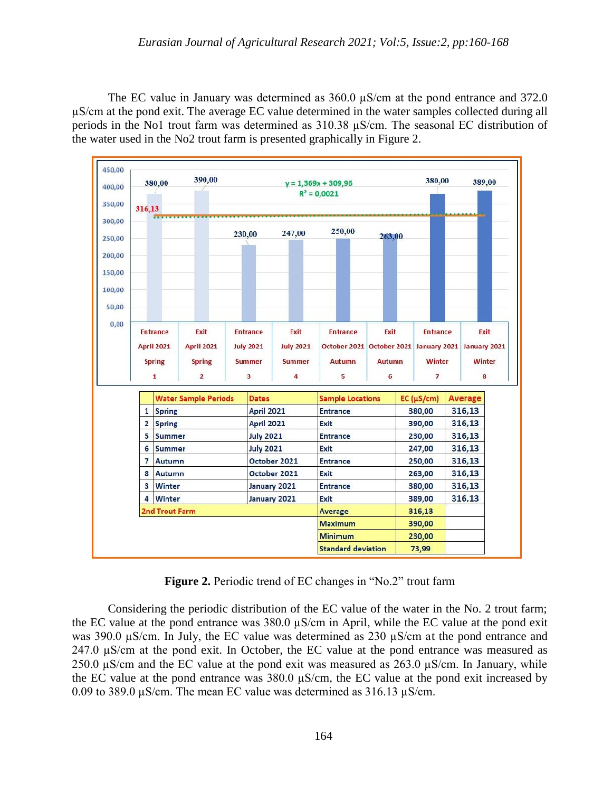The EC value in January was determined as  $360.0 \mu S/cm$  at the pond entrance and 372.0 µS/cm at the pond exit. The average EC value determined in the water samples collected during all periods in the No1 trout farm was determined as 310.38 µS/cm. The seasonal EC distribution of the water used in the No2 trout farm is presented graphically in Figure 2.



**Figure 2.** Periodic trend of EC changes in "No.2" trout farm

Considering the periodic distribution of the EC value of the water in the No. 2 trout farm; the EC value at the pond entrance was 380.0 µS/cm in April, while the EC value at the pond exit was 390.0 µS/cm. In July, the EC value was determined as 230 µS/cm at the pond entrance and 247.0  $\mu$ S/cm at the pond exit. In October, the EC value at the pond entrance was measured as 250.0  $\mu$ S/cm and the EC value at the pond exit was measured as 263.0  $\mu$ S/cm. In January, while the EC value at the pond entrance was 380.0 µS/cm, the EC value at the pond exit increased by 0.09 to 389.0  $\mu$ S/cm. The mean EC value was determined as 316.13  $\mu$ S/cm.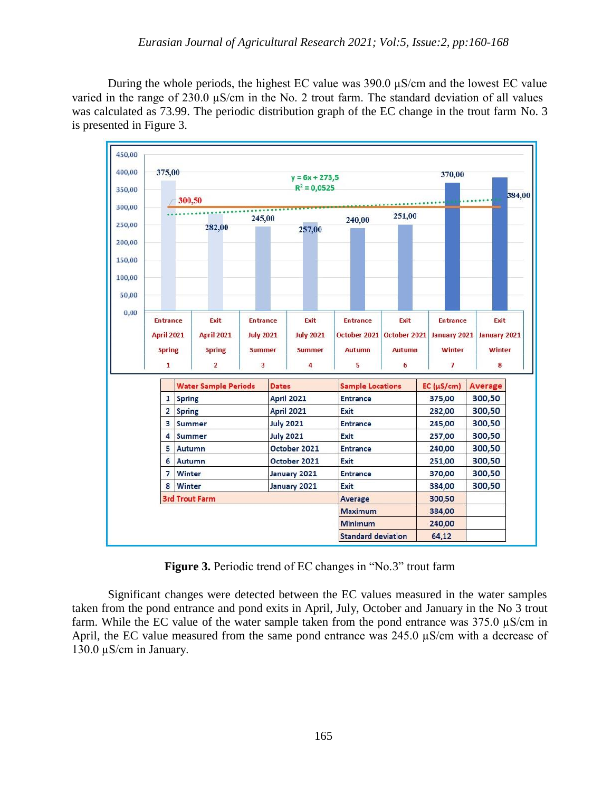During the whole periods, the highest EC value was 390.0 µS/cm and the lowest EC value varied in the range of 230.0  $\mu$ S/cm in the No. 2 trout farm. The standard deviation of all values was calculated as 73.99. The periodic distribution graph of the EC change in the trout farm No. 3 is presented in Figure 3.

| 400,00 |                 | 375,00                |                             |                   |                  |                              | $y = 6x + 273,5$                | 370,00                                 |               |                    |                |                  |  |
|--------|-----------------|-----------------------|-----------------------------|-------------------|------------------|------------------------------|---------------------------------|----------------------------------------|---------------|--------------------|----------------|------------------|--|
|        |                 | $R^2 = 0,0525$        |                             |                   |                  |                              |                                 |                                        |               |                    |                |                  |  |
|        |                 |                       | 300,50                      |                   |                  |                              |                                 |                                        |               |                    |                | 384,00           |  |
|        |                 | <br>245,00            |                             |                   |                  |                              | 251,00<br>240,00                |                                        |               |                    |                |                  |  |
|        |                 |                       |                             | 282,00            |                  |                              | 257,00                          |                                        |               |                    |                |                  |  |
|        |                 |                       |                             |                   |                  |                              |                                 |                                        |               |                    |                |                  |  |
|        |                 |                       |                             |                   |                  |                              |                                 |                                        |               |                    |                |                  |  |
|        |                 |                       |                             |                   |                  |                              |                                 |                                        |               |                    |                |                  |  |
|        |                 |                       |                             |                   |                  |                              |                                 |                                        |               |                    |                |                  |  |
|        |                 |                       |                             |                   |                  |                              |                                 |                                        |               |                    |                |                  |  |
|        |                 |                       |                             |                   |                  |                              |                                 |                                        |               |                    |                |                  |  |
|        | <b>Entrance</b> |                       |                             | Exit              |                  | <b>Entrance</b>              | Exit                            | <b>Entrance</b>                        | Exit          | <b>Entrance</b>    |                | Exit             |  |
|        |                 | <b>April 2021</b>     |                             | <b>April 2021</b> | <b>July 2021</b> |                              | <b>July 2021</b>                | October 2021 October 2021 January 2021 |               |                    | January 2021   |                  |  |
|        |                 | <b>Spring</b>         |                             | <b>Spring</b>     | <b>Summer</b>    |                              | <b>Summer</b>                   | <b>Autumn</b>                          | <b>Autumn</b> | Winter             |                | <b>Winter</b>    |  |
|        |                 | 1                     |                             | $\overline{2}$    | 3                |                              | 4                               | 5                                      | 6             | 7                  |                | 8                |  |
|        |                 |                       | <b>Water Sample Periods</b> |                   |                  |                              | <b>Dates</b>                    | <b>Sample Locations</b>                |               | $EC$ ( $\mu$ S/cm) | <b>Average</b> |                  |  |
|        |                 | $\mathbf{1}$          | <b>Spring</b>               |                   |                  |                              | <b>April 2021</b>               | <b>Entrance</b><br>Exit                |               | 375,00             |                | 300,50<br>300,50 |  |
|        |                 | $\overline{2}$        | <b>Spring</b>               |                   |                  |                              | <b>April 2021</b>               |                                        |               | 282,00             |                |                  |  |
|        |                 | 3                     | Summer                      |                   |                  | <b>July 2021</b>             |                                 | <b>Entrance</b>                        |               |                    |                | 300,50           |  |
|        |                 | 4                     | <b>Summer</b>               |                   |                  | <b>July 2021</b>             |                                 | Exit                                   |               | 257,00             |                | 300,50           |  |
|        |                 | 5                     | Autumn                      |                   |                  |                              | October 2021<br><b>Entrance</b> |                                        |               | 240,00             | 300,50         |                  |  |
|        |                 | 6                     | Autumn<br>Winter            |                   |                  | October 2021<br>January 2021 |                                 | Exit                                   |               | 251,00             | 300,50         |                  |  |
|        |                 | 7                     |                             |                   |                  |                              |                                 | <b>Entrance</b>                        |               |                    | 300,50         |                  |  |
|        |                 | 8                     | Winter                      |                   |                  |                              | Exit<br>January 2021            |                                        |               | 384,00             | 300,50         |                  |  |
|        |                 | <b>3rd Trout Farm</b> |                             |                   |                  |                              | Average                         |                                        | 300,50        |                    |                |                  |  |
|        |                 |                       |                             |                   |                  |                              |                                 | <b>Maximum</b>                         |               | 384,00             |                |                  |  |
|        |                 |                       |                             |                   |                  |                              |                                 | <b>Minimum</b>                         |               | 240,00             |                |                  |  |
|        |                 |                       |                             |                   |                  |                              |                                 | <b>Standard deviation</b>              |               | 64,12              |                |                  |  |

**Figure 3.** Periodic trend of EC changes in "No.3" trout farm

Significant changes were detected between the EC values measured in the water samples taken from the pond entrance and pond exits in April, July, October and January in the No 3 trout farm. While the EC value of the water sample taken from the pond entrance was 375.0 µS/cm in April, the EC value measured from the same pond entrance was 245.0  $\mu$ S/cm with a decrease of 130.0 µS/cm in January.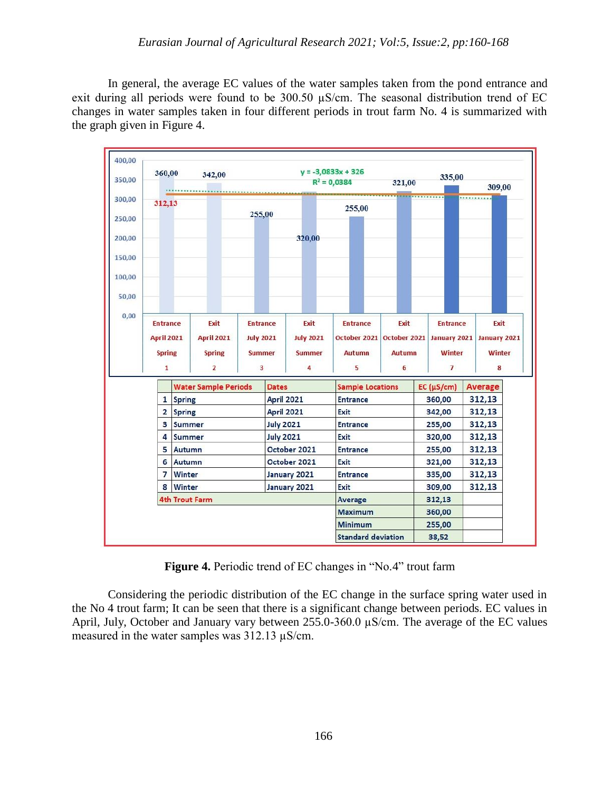In general, the average EC values of the water samples taken from the pond entrance and exit during all periods were found to be 300.50 µS/cm. The seasonal distribution trend of EC changes in water samples taken in four different periods in trout farm No. 4 is summarized with the graph given in Figure 4.



**Figure 4.** Periodic trend of EC changes in "No.4" trout farm

Considering the periodic distribution of the EC change in the surface spring water used in the No 4 trout farm; It can be seen that there is a significant change between periods. EC values in April, July, October and January vary between 255.0-360.0 µS/cm. The average of the EC values measured in the water samples was 312.13 µS/cm.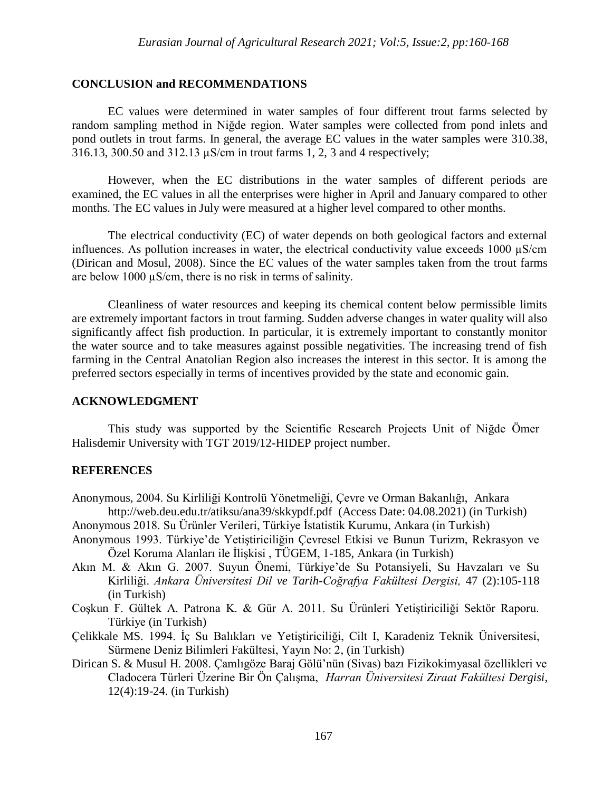### **CONCLUSION and RECOMMENDATIONS**

EC values were determined in water samples of four different trout farms selected by random sampling method in Niğde region. Water samples were collected from pond inlets and pond outlets in trout farms. In general, the average EC values in the water samples were 310.38, 316.13, 300.50 and 312.13 µS/cm in trout farms 1, 2, 3 and 4 respectively;

However, when the EC distributions in the water samples of different periods are examined, the EC values in all the enterprises were higher in April and January compared to other months. The EC values in July were measured at a higher level compared to other months.

The electrical conductivity (EC) of water depends on both geological factors and external influences. As pollution increases in water, the electrical conductivity value exceeds  $1000 \mu S/cm$ (Dirican and Mosul, 2008). Since the EC values of the water samples taken from the trout farms are below 1000 µS/cm, there is no risk in terms of salinity.

Cleanliness of water resources and keeping its chemical content below permissible limits are extremely important factors in trout farming. Sudden adverse changes in water quality will also significantly affect fish production. In particular, it is extremely important to constantly monitor the water source and to take measures against possible negativities. The increasing trend of fish farming in the Central Anatolian Region also increases the interest in this sector. It is among the preferred sectors especially in terms of incentives provided by the state and economic gain.

### **ACKNOWLEDGMENT**

This study was supported by the Scientific Research Projects Unit of Niğde Ömer Halisdemir University with TGT 2019/12-HIDEP project number.

### **REFERENCES**

- Anonymous, 2004. Su Kirliliği Kontrolü Yönetmeliği, Çevre ve Orman Bakanlığı, Ankara <http://web.deu.edu.tr/atiksu/ana39/skkypdf.pdf> (Access Date: 04.08.2021) (in Turkish)
- Anonymous 2018. Su Ürünler Verileri, Türkiye İstatistik Kurumu, Ankara (in Turkish)
- Anonymous 1993. Türkiye'de Yetiştiriciliğin Çevresel Etkisi ve Bunun Turizm, Rekrasyon ve Özel Koruma Alanları ile İlişkisi , TÜGEM, 1-185, Ankara (in Turkish)
- Akın M. & Akın G. 2007. Suyun Önemi, Türkiye'de Su Potansiyeli, Su Havzaları ve Su Kirliliği. *Ankara Üniversitesi Dil ve Tarih-Coğrafya Fakültesi Dergisi,* 47 (2):105-118 (in Turkish)
- Coşkun F. Gültek A. Patrona K. & Gür A. 2011. Su Ürünleri Yetiştiriciliği Sektör Raporu. Türkiye (in Turkish)
- Çelikkale MS. 1994. İç Su Balıkları ve Yetiştiriciliği, Cilt I, Karadeniz Teknik Üniversitesi, Sürmene Deniz Bilimleri Fakültesi, Yayın No: 2, (in Turkish)
- Dirican S. & Musul H. 2008. Çamlıgöze Baraj Gölü'nün (Sivas) bazı Fizikokimyasal özellikleri ve Cladocera Türleri Üzerine Bir Ön Çalışma, *Harran Üniversitesi Ziraat Fakültesi Dergisi*, 12(4):19-24. (in Turkish)